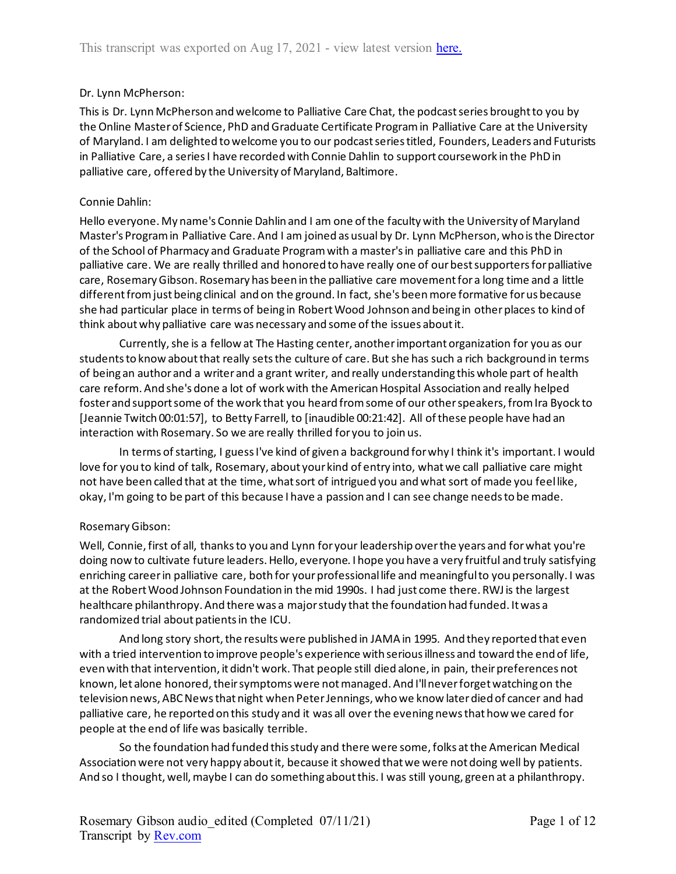## Dr. Lynn McPherson:

This is Dr. Lynn McPherson and welcome to Palliative Care Chat, the podcast series brought to you by the Online Master of Science, PhD and Graduate Certificate Program in Palliative Care at the University of Maryland. I am delighted to welcome you to our podcast series titled, Founders, Leaders and Futurists in Palliative Care, a series I have recorded with Connie Dahlin to support coursework in the PhD in palliative care, offered by the University of Maryland, Baltimore.

## Connie Dahlin:

Hello everyone. My name's Connie Dahlin and I am one of the faculty with the University of Maryland Master's Program in Palliative Care. And I am joined as usual by Dr. Lynn McPherson, who is the Director of the School of Pharmacy and Graduate Program with a master's in palliative care and this PhD in palliative care. We are really thrilled and honored to have really one of our best supporters for palliative care, Rosemary Gibson. Rosemary has been in the palliative care movement for a long time and a little different from just being clinical and on the ground. In fact, she's been more formative for us because she had particular place in terms of being in Robert Wood Johnson and being in other places to kind of think about why palliative care was necessary and some of the issues about it.

Currently, she is a fellow at The Hasting center, another important organization for you as our students to know about that really sets the culture of care. But she has such a rich background in terms of being an author and a writer and a grant writer, and really understanding this whole part of health care reform. And she's done a lot of work with the American Hospital Association and really helped foster and support some of the work that you heard from some of our other speakers, from Ira Byock to [Jeannie Twitch 00:01:57], to Betty Farrell, to [inaudible 00:21:42]. All of these people have had an interaction with Rosemary. So we are really thrilled for you to join us.

In terms of starting, I guess I've kind of given a background for why I think it's important. I would love for you to kind of talk, Rosemary, about your kind of entry into, what we call palliative care might not have been called that at the time, what sort of intrigued you and what sort of made you feel like, okay, I'm going to be part of this because I have a passion and I can see change needs to be made.

# Rosemary Gibson:

Well, Connie, first of all, thanks to you and Lynn for your leadership over the years and for what you're doing now to cultivate future leaders. Hello, everyone. I hope you have a very fruitful and truly satisfying enriching career in palliative care, both for your professional life and meaningful to you personally. I was at the Robert Wood Johnson Foundation in the mid 1990s. I had just come there. RWJ is the largest healthcare philanthropy. And there was a major study that the foundation had funded. It was a randomized trial about patients in the ICU.

And long story short, the results were published in JAMA in 1995. And they reported that even with a tried intervention to improve people's experience with serious illness and toward the end of life, even with that intervention, it didn't work. That people still died alone, in pain, their preferences not known, let alone honored, their symptoms were not managed. And I'll never forget watching on the television news, ABC News that night when Peter Jennings, who we know later died of cancer and had palliative care, he reported on this study and it was all over the evening news that how we cared for people at the end of life was basically terrible.

So the foundation had funded this study and there were some, folks at the American Medical Association were not very happy about it, because it showed that we were not doing well by patients. And so I thought, well, maybe I can do something about this. I was still young, green at a philanthropy.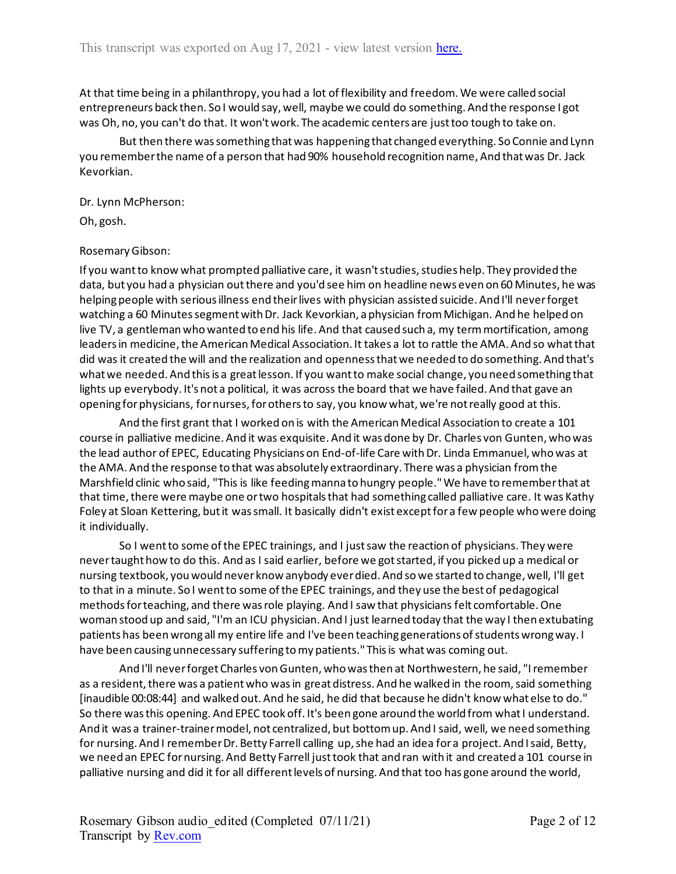At that time being in a philanthropy, you had a lot of flexibility and freedom. We were called social entrepreneurs back then. So I would say, well, maybe we could do something. And the response I got was Oh, no, you can't do that. It won't work. The academic centers are just too tough to take on.

But then there was something that was happening that changed everything. So Connie and Lynn you remember the name of a person that had 90% household recognition name, And that was Dr. Jack Kevorkian.

Dr. Lynn McPherson:

Oh, gosh.

## Rosemary Gibson:

If you want to know what prompted palliative care, it wasn't studies, studies help. They provided the data, but you had a physician out there and you'd see him on headline news even on 60 Minutes, he was helping people with serious illness end their lives with physician assisted suicide. And I'll never forget watching a 60 Minutes segment with Dr. Jack Kevorkian, a physician from Michigan. And he helped on live TV, a gentleman who wanted to end his life. And that caused such a, my term mortification, among leaders in medicine, the American Medical Association. It takes a lot to rattle the AMA. And so what that did was it created the will and the realization and openness that we needed to do something. And that's what we needed. And this is a great lesson. If you want to make social change, you need something that lights up everybody. It's not a political, it was across the board that we have failed. And that gave an opening for physicians, for nurses, for others to say, you know what, we're not really good at this.

And the first grant that I worked on is with the American Medical Association to create a 101 course in palliative medicine. And it was exquisite. And it was done by Dr. Charles von Gunten, who was the lead author of EPEC, Educating Physicians on End-of-life Care with Dr. Linda Emmanuel, who was at the AMA. And the response to that was absolutely extraordinary. There was a physician from the Marshfield clinic who said, "This is like feeding manna to hungry people." We have to remember that at that time, there were maybe one or two hospitals that had something called palliative care. It was Kathy Foley at Sloan Kettering, but it was small. It basically didn't exist except for a few people who were doing it individually.

So I went to some of the EPEC trainings, and I just saw the reaction of physicians. They were never taught how to do this. And as I said earlier, before we got started, if you picked up a medical or nursing textbook, you would never know anybody ever died. And so we started to change, well, I'll get to that in a minute. So I went to some of the EPEC trainings, and they use the best of pedagogical methods for teaching, and there was role playing. And I saw that physicians felt comfortable. One woman stood up and said, "I'm an ICU physician. And I just learned today that the way I then extubating patients has been wrong all my entire life and I've been teaching generations of students wrong way. I have been causing unnecessary suffering to my patients." This is what was coming out.

And I'll never forget Charles von Gunten, who was then at Northwestern, he said, "I remember as a resident, there was a patient who was in great distress. And he walked in the room, said something [inaudible 00:08:44] and walked out. And he said, he did that because he didn't know what else to do." So there was this opening. And EPEC took off. It's been gone around the world from what I understand. And it was a trainer-trainer model, not centralized, but bottom up. And I said, well, we need something for nursing. And I remember Dr. Betty Farrell calling up, she had an idea for a project. And I said, Betty, we need an EPEC for nursing. And Betty Farrell just took that and ran with it and created a 101 course in palliative nursing and did it for all different levels of nursing. And that too has gone around the world,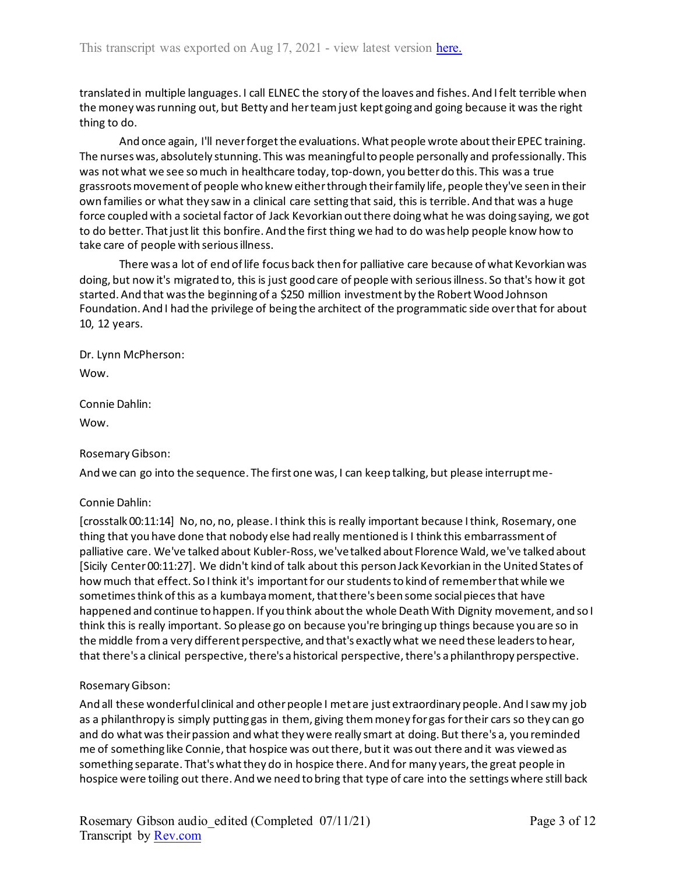translated in multiple languages. I call ELNEC the story of the loaves and fishes. And I felt terrible when the money was running out, but Betty and her team just kept going and going because it was the right thing to do.

And once again, I'll never forget the evaluations. What people wrote about their EPEC training. The nurses was, absolutely stunning. This was meaningful to people personally and professionally. This was not what we see so much in healthcare today, top-down, you better do this. This was a true grassroots movement of people who knew either through their family life, people they've seen in their own families or what they saw in a clinical care setting that said, this is terrible. And that was a huge force coupled with a societal factor of Jack Kevorkian out there doing what he was doing saying, we got to do better. That just lit this bonfire. And the first thing we had to do was help people know how to take care of people with serious illness.

There was a lot of end of life focus back then for palliative care because of what Kevorkian was doing, but now it's migrated to, this is just good care of people with serious illness. So that's how it got started. And that was the beginning of a \$250 million investment by the Robert Wood Johnson Foundation. And I had the privilege of being the architect of the programmatic side over that for about 10, 12 years.

Dr. Lynn McPherson:

Wow.

Connie Dahlin:

Wow.

# Rosemary Gibson:

And we can go into the sequence. The first one was, I can keep talking, but please interrupt me-

# Connie Dahlin:

[crosstalk 00:11:14] No, no, no, please. I think this is really important because I think, Rosemary, one thing that you have done that nobody else had really mentioned is I think this embarrassment of palliative care. We've talked about Kubler-Ross, we've talked about Florence Wald, we've talked about [Sicily Center 00:11:27]. We didn't kind of talk about this person Jack Kevorkian in the United States of how much that effect. So I think it's important for our students to kind of remember that while we sometimes think of this as a kumbaya moment, that there's been some social pieces that have happened and continue to happen. If you think about the whole Death With Dignity movement, and so I think this is really important. So please go on because you're bringing up things because you are so in the middle from a very different perspective, and that's exactly what we need these leaders to hear, that there's a clinical perspective, there's a historical perspective, there's a philanthropy perspective.

# Rosemary Gibson:

And all these wonderful clinical and other people I met are just extraordinary people. And I saw my job as a philanthropy is simply putting gas in them, giving them money for gas for their cars so they can go and do what was their passion and what they were really smart at doing. But there's a, you reminded me of something like Connie, that hospice was out there, but it was out there and it was viewed as something separate. That's what they do in hospice there. And for many years, the great people in hospice were toiling out there. And we need to bring that type of care into the settings where still back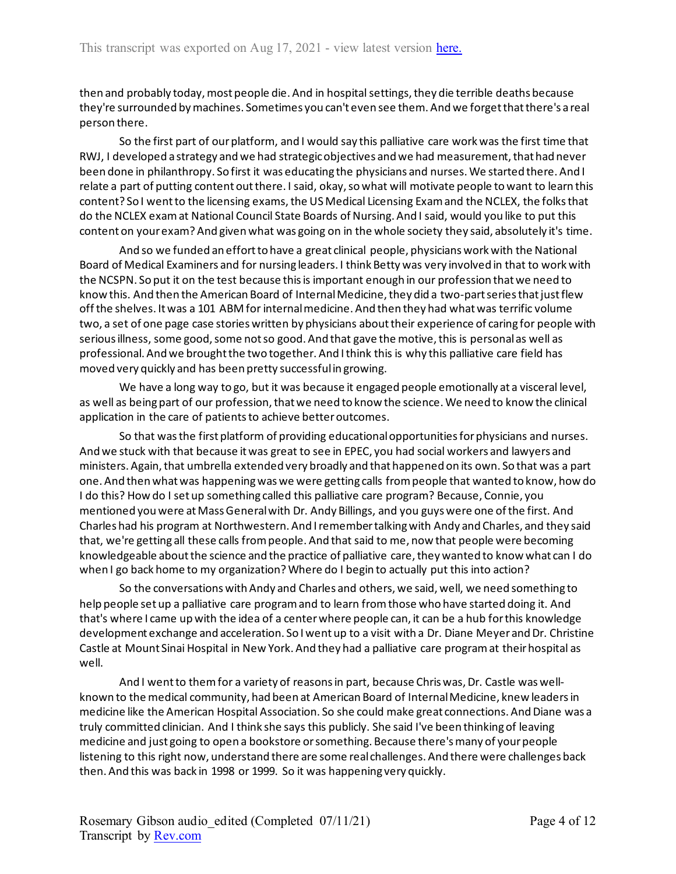then and probably today, most people die. And in hospital settings, they die terrible deaths because they're surrounded by machines. Sometimes you can't even see them. And we forget that there's a real person there.

So the first part of our platform, and I would say this palliative care work was the first time that RWJ, I developed a strategy and we had strategic objectives and we had measurement, that had never been done in philanthropy. So first it was educating the physicians and nurses. We started there. And I relate a part of putting content out there. I said, okay, so what will motivate people to want to learn this content? So I went to the licensing exams, the US Medical Licensing Exam and the NCLEX, the folks that do the NCLEX exam at National Council State Boards of Nursing. And I said, would you like to put this content on your exam? And given what was going on in the whole society they said, absolutely it's time.

And so we funded an effort to have a great clinical people, physicians work with the National Board of Medical Examiners and for nursing leaders. I think Betty was very involved in that to work with the NCSPN. So put it on the test because this is important enough in our profession that we need to know this. And then the American Board of Internal Medicine, they did a two-part series that just flew off the shelves. It was a 101 ABM for internal medicine. And then they had what was terrific volume two, a set of one page case stories written by physicians about their experience of caring for people with serious illness, some good, some not so good. And that gave the motive, this is personal as well as professional. And we brought the two together. And I think this is why this palliative care field has moved very quickly and has been pretty successful in growing.

We have a long way to go, but it was because it engaged people emotionally at a visceral level, as well as being part of our profession, that we need to know the science. We need to know the clinical application in the care of patients to achieve better outcomes.

So that was the first platform of providing educational opportunities for physicians and nurses. And we stuck with that because it was great to see in EPEC, you had social workers and lawyers and ministers. Again, that umbrella extended very broadly and that happened on its own. So that was a part one. And then what was happening was we were getting calls from people that wanted to know, how do I do this? How do I set up something called this palliative care program? Because, Connie, you mentioned you were at Mass General with Dr. Andy Billings, and you guys were one of the first. And Charles had his program at Northwestern. And I remember talking with Andy and Charles, and they said that, we're getting all these calls from people. And that said to me, now that people were becoming knowledgeable about the science and the practice of palliative care, they wanted to know what can I do when I go back home to my organization? Where do I begin to actually put this into action?

So the conversations with Andy and Charles and others, we said, well, we need something to help people set up a palliative care program and to learn from those who have started doing it. And that's where I came up with the idea of a center where people can, it can be a hub for this knowledge development exchange and acceleration. So I went up to a visit with a Dr. Diane Meyer and Dr. Christine Castle at Mount Sinai Hospital in New York. And they had a palliative care program at their hospital as well.

And I went to them for a variety of reasons in part, because Chris was, Dr. Castle was wellknown to the medical community, had been at American Board of Internal Medicine, knew leaders in medicine like the American Hospital Association. So she could make great connections. And Diane was a truly committed clinician. And I think she says this publicly. She said I've been thinking of leaving medicine and just going to open a bookstore or something. Because there's many of your people listening to this right now, understand there are some real challenges. And there were challenges back then. And this was back in 1998 or 1999. So it was happening very quickly.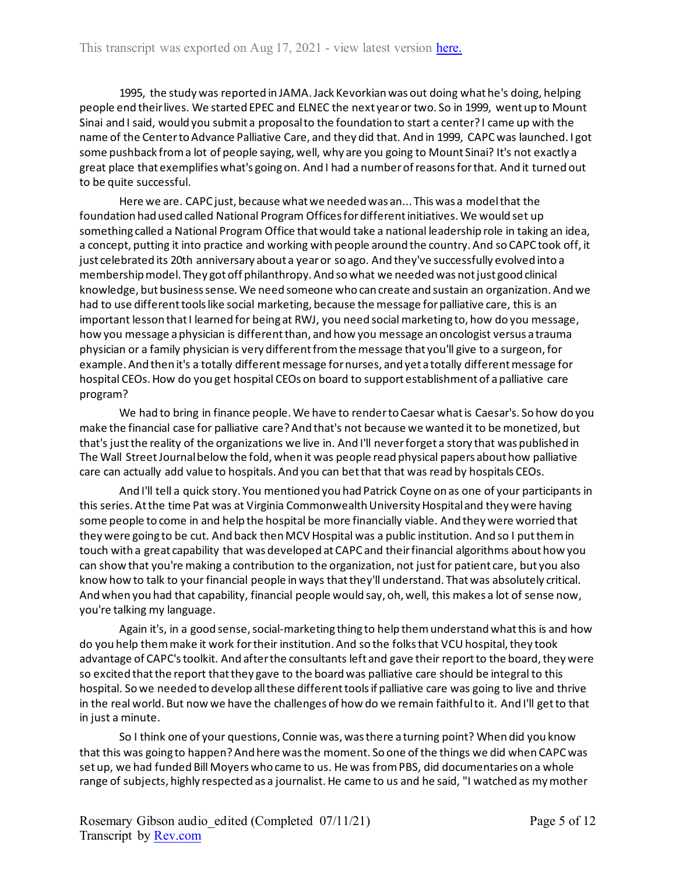1995, the study was reported in JAMA. Jack Kevorkian was out doing what he's doing, helping people end their lives. We started EPEC and ELNEC the next year or two. So in 1999, went up to Mount Sinai and I said, would you submit a proposal to the foundation to start a center? I came up with the name of the Center to Advance Palliative Care, and they did that. And in 1999, CAPC was launched. I got some pushback from a lot of people saying, well, why are you going to Mount Sinai? It's not exactly a great place that exemplifies what's going on. And I had a number of reasons for that. And it turned out to be quite successful.

Here we are. CAPC just, because what we needed was an... This was a model that the foundation had used called National Program Officesfor different initiatives. We would set up something called a National Program Office that would take a national leadership role in taking an idea, a concept, putting it into practice and working with people around the country. And so CAPC took off, it just celebrated its 20th anniversary about a year or so ago. And they've successfully evolved into a membership model. They got off philanthropy. And so what we needed was not just good clinical knowledge, but business sense. We need someone who can create and sustain an organization. And we had to use different tools like social marketing, because the message for palliative care, this is an important lesson that I learned for being at RWJ, you need social marketing to, how do you message, how you message a physician is different than, and how you message an oncologist versus a trauma physician or a family physician is very different from the message that you'll give to a surgeon, for example. And then it's a totally different message for nurses, and yet a totally different message for hospital CEOs. How do you get hospital CEOs on board to support establishment of a palliative care program?

We had to bring in finance people. We have to renderto Caesar what is Caesar's. So how do you make the financial case for palliative care? And that's not because we wanted it to be monetized, but that's just the reality of the organizations we live in. And I'll never forget a story that was published in The Wall Street Journal below the fold, when it was people read physical papers about how palliative care can actually add value to hospitals. And you can bet that that was read by hospitals CEOs.

And I'll tell a quick story. You mentioned you had Patrick Coyne on as one of your participants in this series. At the time Pat was at Virginia Commonwealth University Hospital and they were having some people to come in and help the hospital be more financially viable. And they were worried that they were going to be cut. And back then MCV Hospital was a public institution. And so I put them in touch with a great capability that was developed at CAPC and their financial algorithms about how you can show that you're making a contribution to the organization, not just for patient care, but you also know how to talk to your financial people in ways that they'll understand. That was absolutely critical. And when you had that capability, financial people would say, oh, well, this makes a lot of sense now, you're talking my language.

Again it's, in a good sense, social-marketing thing to help them understand what this is and how do you help them make it work for their institution. And so the folks that VCU hospital, they took advantage of CAPC's toolkit. And after the consultants left and gave their report to the board, they were so excited that the report that they gave to the board was palliative care should be integral to this hospital. So we needed to develop all these different tools if palliative care was going to live and thrive in the real world. But now we have the challenges of how do we remain faithful to it. And I'll get to that in just a minute.

So I think one of your questions, Connie was, was there a turning point? When did you know that this was going to happen? And here was the moment. So one of the things we did when CAPC was set up, we had funded Bill Moyers who came to us. He was from PBS, did documentaries on a whole range of subjects, highly respected as a journalist. He came to us and he said, "I watched as my mother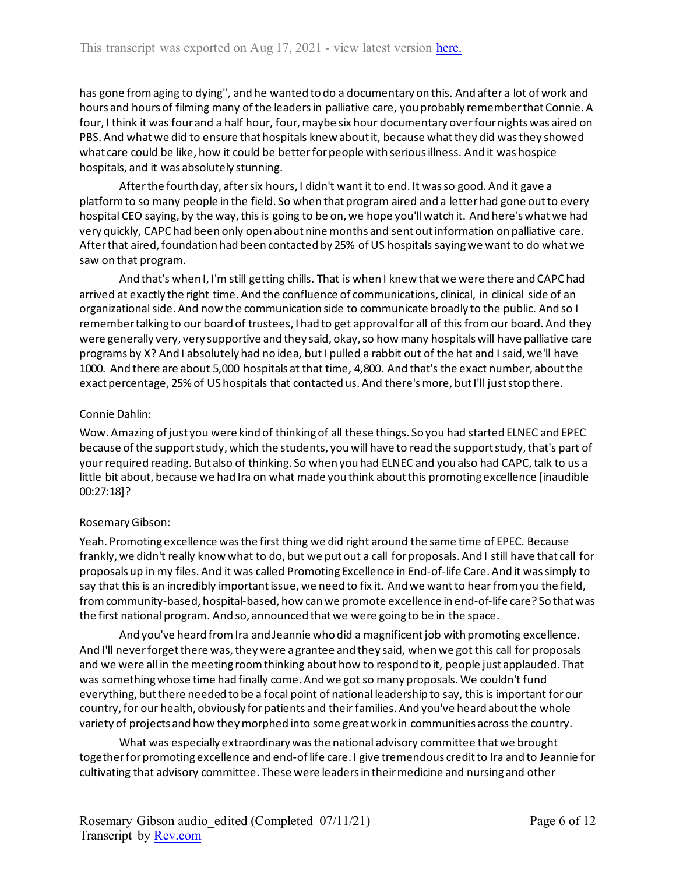has gone from aging to dying", and he wanted to do a documentary on this. And after a lot of work and hours and hours of filming many of the leaders in palliative care, you probably remember that Connie. A four, I think it was four and a half hour, four, maybe six hour documentary over four nights was aired on PBS. And what we did to ensure that hospitals knew about it, because what they did was they showed what care could be like, how it could be better for people with serious illness. And it was hospice hospitals, and it was absolutely stunning.

After the fourth day, after six hours, I didn't want it to end. It was so good. And it gave a platform to so many people in the field. So when that program aired and a letter had gone out to every hospital CEO saying, by the way, this is going to be on, we hope you'll watch it. And here's what we had very quickly, CAPC had been only open about nine months and sent out information on palliative care. After that aired, foundation had been contacted by 25% of US hospitals saying we want to do what we saw on that program.

And that's when I, I'm still getting chills. That is when I knew that we were there and CAPC had arrived at exactly the right time. And the confluence of communications, clinical, in clinical side of an organizational side. And now the communication side to communicate broadly to the public. And so I remember talking to our board of trustees, I had to get approval for all of this from our board. And they were generally very, very supportive and they said, okay, so how many hospitals will have palliative care programs by X? And I absolutely had no idea, but I pulled a rabbit out of the hat and I said, we'll have 1000. And there are about 5,000 hospitals at that time, 4,800. And that's the exact number, about the exact percentage, 25% of US hospitals that contacted us. And there's more, but I'll just stop there.

## Connie Dahlin:

Wow. Amazing of just you were kind of thinking of all these things. So you had started ELNEC and EPEC because of the support study, which the students, you will have to read the support study, that's part of your required reading. But also of thinking. So when you had ELNEC and you also had CAPC, talk to us a little bit about, because we had Ira on what made you think about this promoting excellence [inaudible 00:27:18]?

# Rosemary Gibson:

Yeah. Promoting excellence was the first thing we did right around the same time of EPEC. Because frankly, we didn't really know what to do, but we put out a call for proposals. And I still have that call for proposals up in my files. And it was called Promoting Excellence in End-of-life Care. And it was simply to say that this is an incredibly important issue, we need to fix it. And we want to hear from you the field, from community-based, hospital-based, how can we promote excellence in end-of-life care? So that was the first national program. And so, announced that we were going to be in the space.

And you've heard from Ira and Jeannie who did a magnificent job with promoting excellence. And I'll never forget there was, they were a grantee and they said, when we got this call for proposals and we were all in the meeting room thinking about how to respond to it, people just applauded. That was something whose time had finally come. And we got so many proposals. We couldn't fund everything, but there needed to be a focal point of national leadership to say, this is important for our country, for our health, obviously for patients and their families. And you've heard about the whole variety of projects and how they morphed into some great work in communities across the country.

What was especially extraordinary was the national advisory committee that we brought together for promoting excellence and end-of life care. I give tremendous credit to Ira and to Jeannie for cultivating that advisory committee. These were leaders in their medicine and nursing and other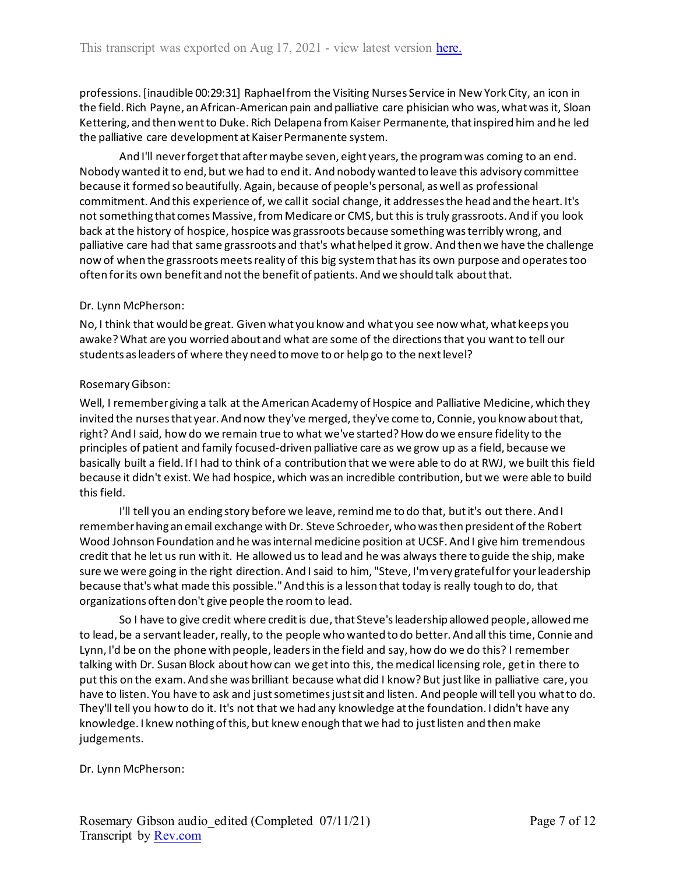professions. [inaudible 00:29:31] Raphael from the Visiting Nurses Service in New York City, an icon in the field. Rich Payne, an African-American pain and palliative care phisician who was, what was it, Sloan Kettering, and then went to Duke. Rich Delapena from Kaiser Permanente, that inspired him and he led the palliative care development at Kaiser Permanente system.

And I'll never forget that after maybe seven, eight years, the program was coming to an end. Nobody wanted it to end, but we had to end it. And nobody wanted to leave this advisory committee because it formed so beautifully. Again, because of people's personal, as well as professional commitment. And this experience of, we call it social change, it addressesthe head and the heart. It's not something that comes Massive, from Medicare or CMS, but this is truly grassroots. And if you look back at the history of hospice, hospice was grassroots because something was terribly wrong, and palliative care had that same grassroots and that's what helped it grow. And then we have the challenge now of when the grassroots meets reality of this big system that has its own purpose and operates too often for its own benefit and not the benefit of patients. And we should talk about that.

## Dr. Lynn McPherson:

No, I think that would be great. Given what you know and what you see now what, what keeps you awake? What are you worried about and what are some of the directions that you want to tell our students as leaders of where they need to move to or help go to the next level?

## Rosemary Gibson:

Well, I remember giving a talk at the American Academy of Hospice and Palliative Medicine, which they invited the nurses that year. And now they've merged, they've come to, Connie, you know about that, right? And I said, how do we remain true to what we've started? How do we ensure fidelity to the principles of patient and family focused-driven palliative care as we grow up as a field, because we basically built a field. If I had to think of a contribution that we were able to do at RWJ, we built this field because it didn't exist. We had hospice, which was an incredible contribution, but we were able to build this field.

I'll tell you an ending story before we leave, remind me to do that, but it's out there. And I remember having an email exchange with Dr. Steve Schroeder, who was then president of the Robert Wood Johnson Foundation and he was internal medicine position at UCSF. And I give him tremendous credit that he let us run with it. He allowed us to lead and he was always there to guide the ship, make sure we were going in the right direction. And I said to him, "Steve, I'm very grateful for your leadership because that's what made this possible." And this is a lesson that today is really tough to do, that organizations often don't give people the room to lead.

So I have to give credit where credit is due, that Steve's leadership allowed people, allowed me to lead, be a servant leader, really, to the people who wanted to do better. And all this time, Connie and Lynn, I'd be on the phone with people, leaders in the field and say, how do we do this? I remember talking with Dr. Susan Block about how can we get into this, the medical licensing role, get in there to put this on the exam. And she was brilliant because what did I know? But just like in palliative care, you have to listen. You have to ask and just sometimes just sit and listen. And people will tell you what to do. They'll tell you how to do it. It's not that we had any knowledge at the foundation. I didn't have any knowledge. I knew nothing of this, but knew enough that we had to just listen and then make judgements.

## Dr. Lynn McPherson: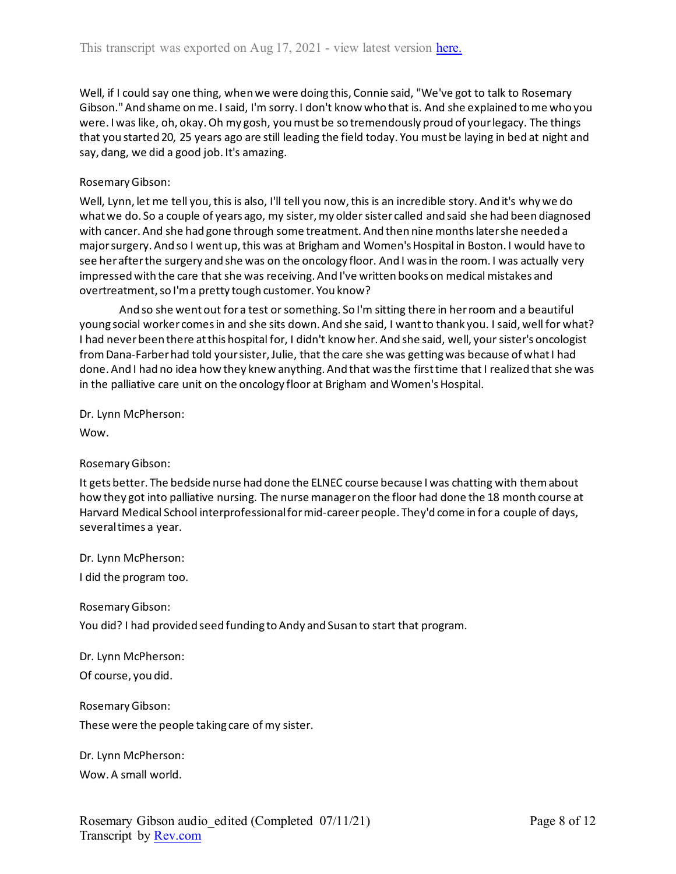Well, if I could say one thing, when we were doing this, Connie said, "We've got to talk to Rosemary Gibson." And shame on me. I said, I'm sorry. I don't know who that is. And she explained to me who you were. I was like, oh, okay. Oh my gosh, you must be so tremendously proud of your legacy. The things that you started 20, 25 years ago are still leading the field today. You must be laying in bed at night and say, dang, we did a good job. It's amazing.

## Rosemary Gibson:

Well, Lynn, let me tell you, this is also, I'll tell you now, this is an incredible story. And it's why we do what we do. So a couple of years ago, my sister, my older sister called and said she had been diagnosed with cancer. And she had gone through some treatment. And then nine months later she needed a major surgery. And so I went up, this was at Brigham and Women's Hospital in Boston. I would have to see her after the surgery and she was on the oncology floor. And I was in the room. I was actually very impressed with the care that she was receiving. And I've written books on medical mistakes and overtreatment, so I'm a pretty tough customer. You know?

And so she went out for a test or something. So I'm sitting there in her room and a beautiful young social worker comes in and she sits down. And she said, I want to thank you. I said, well for what? I had never been there at this hospital for, I didn't know her. And she said, well, your sister's oncologist from Dana-Farber had told your sister, Julie, that the care she was getting was because of what I had done. And I had no idea how they knew anything. And that was the first time that I realized that she was in the palliative care unit on the oncology floor at Brigham and Women's Hospital.

Dr. Lynn McPherson:

Wow.

## Rosemary Gibson:

It gets better. The bedside nurse had done the ELNEC course because I was chatting with them about how they got into palliative nursing. The nurse manager on the floor had done the 18 month course at Harvard Medical School interprofessional for mid-career people. They'd come in for a couple of days, several times a year.

Dr. Lynn McPherson:

I did the program too.

Rosemary Gibson:

You did? I had provided seed funding to Andy and Susan to start that program.

Dr. Lynn McPherson: Of course, you did.

Rosemary Gibson:

These were the people taking care of my sister.

Dr. Lynn McPherson: Wow. A small world.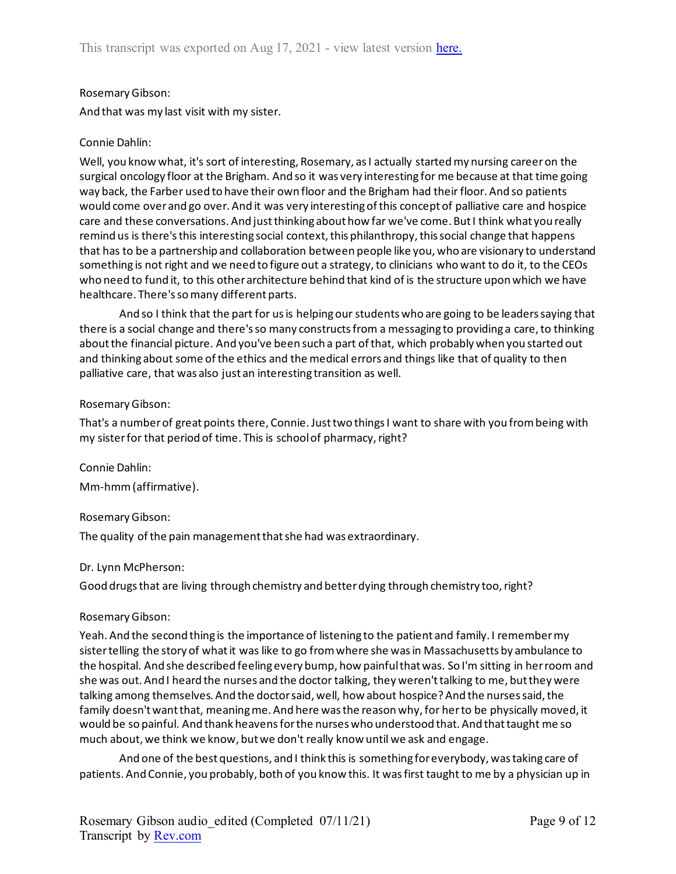## Rosemary Gibson:

And that was my last visit with my sister.

## Connie Dahlin:

Well, you know what, it's sort of interesting, Rosemary, as I actually started my nursing career on the surgical oncology floor at the Brigham. And so it was very interesting for me because at that time going way back, the Farber used to have their own floor and the Brigham had their floor. And so patients would come over and go over. And it was very interesting of this concept of palliative care and hospice care and these conversations. And just thinking about how far we've come. But I think what you really remind us is there's this interesting social context, this philanthropy, this social change that happens that has to be a partnership and collaboration between people like you, who are visionary to understand something is not right and we need to figure out a strategy, to clinicians who want to do it, to the CEOs who need to fund it, to this other architecture behind that kind of is the structure upon which we have healthcare. There's so many different parts.

And so I think that the part for us is helping our students who are going to be leaders saying that there is a social change and there's so many constructs from a messaging to providing a care, to thinking about the financial picture. And you've been such a part of that, which probably when you started out and thinking about some of the ethics and the medical errors and things like that of quality to then palliative care, that was also just an interesting transition as well.

## Rosemary Gibson:

That's a number of great points there, Connie. Just two things I want to share with you from being with my sister for that period of time. This is school of pharmacy, right?

Connie Dahlin: Mm-hmm (affirmative).

# Rosemary Gibson:

The quality of the pain management that she had was extraordinary.

## Dr. Lynn McPherson:

Good drugs that are living through chemistry and better dying through chemistry too, right?

## Rosemary Gibson:

Yeah. And the second thing is the importance of listening to the patient and family. I remember my sister telling the story of what it was like to go from where she was in Massachusetts by ambulance to the hospital. And she described feeling every bump, how painful that was. So I'm sitting in her room and she was out. And I heard the nurses and the doctor talking, they weren't talking to me, but they were talking among themselves. And the doctor said, well, how about hospice? And the nurses said, the family doesn't want that, meaning me. And here was the reason why, for her to be physically moved, it would be so painful. And thank heavens for the nurses who understood that. And that taught me so much about, we think we know, but we don't really know until we ask and engage.

And one of the best questions, and I think this is something for everybody, was taking care of patients. And Connie, you probably, both of you know this. It was first taught to me by a physician up in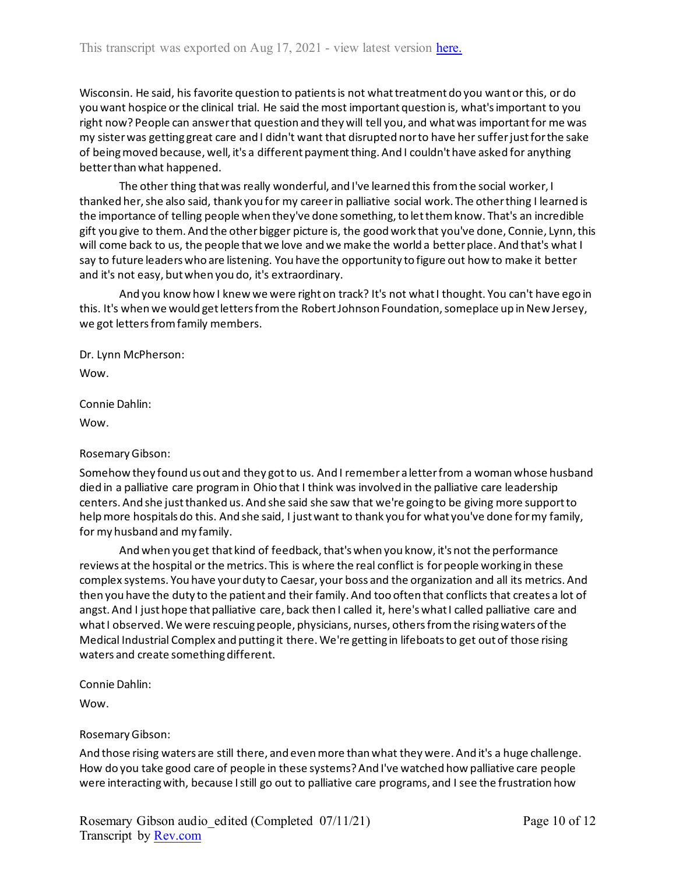Wisconsin. He said, his favorite question to patients is not what treatment do you want or this, or do you want hospice or the clinical trial. He said the most important question is, what's important to you right now? People can answer that question and they will tell you, and what was important for me was my sister was getting great care and I didn't want that disrupted nor to have her suffer just for the sake of being moved because, well, it's a different payment thing. And I couldn't have asked for anything better than what happened.

The other thing that was really wonderful, and I've learned this from the social worker, I thanked her, she also said, thank you for my career in palliative social work. The other thing I learned is the importance of telling people when they've done something, to let them know. That's an incredible gift you give to them. And the other bigger picture is, the good work that you've done, Connie, Lynn, this will come back to us, the people that we love and we make the world a better place. And that's what I say to future leaders who are listening. You have the opportunity to figure out how to make it better and it's not easy, but when you do, it's extraordinary.

And you know how I knew we were right on track? It's not what I thought. You can't have ego in this. It's when we would get letters from the Robert Johnson Foundation, someplace up in New Jersey, we got letters from family members.

Dr. Lynn McPherson:

Wow.

Connie Dahlin:

Wow.

## Rosemary Gibson:

Somehow they found us out and they got to us. And I remember a letter from a woman whose husband died in a palliative care program in Ohio that I think was involved in the palliative care leadership centers. And she just thanked us. And she said she saw that we're going to be giving more support to help more hospitals do this. And she said, I just want to thank you for what you've done for my family, for my husband and my family.

And when you get that kind of feedback, that's when you know, it's not the performance reviews at the hospital or the metrics. This is where the real conflict is for people working in these complex systems. You have your duty to Caesar, your boss and the organization and all its metrics. And then you have the duty to the patient and their family. And too often that conflicts that creates a lot of angst. And I just hope that palliative care, back then I called it, here's what I called palliative care and what I observed. We were rescuing people, physicians, nurses, others from the rising waters of the Medical Industrial Complex and putting it there. We're getting in lifeboats to get out of those rising waters and create something different.

Connie Dahlin:

Wow.

# Rosemary Gibson:

And those rising waters are still there, and even more than what they were. And it's a huge challenge. How do you take good care of people in these systems? And I've watched how palliative care people were interacting with, because I still go out to palliative care programs, and I see the frustration how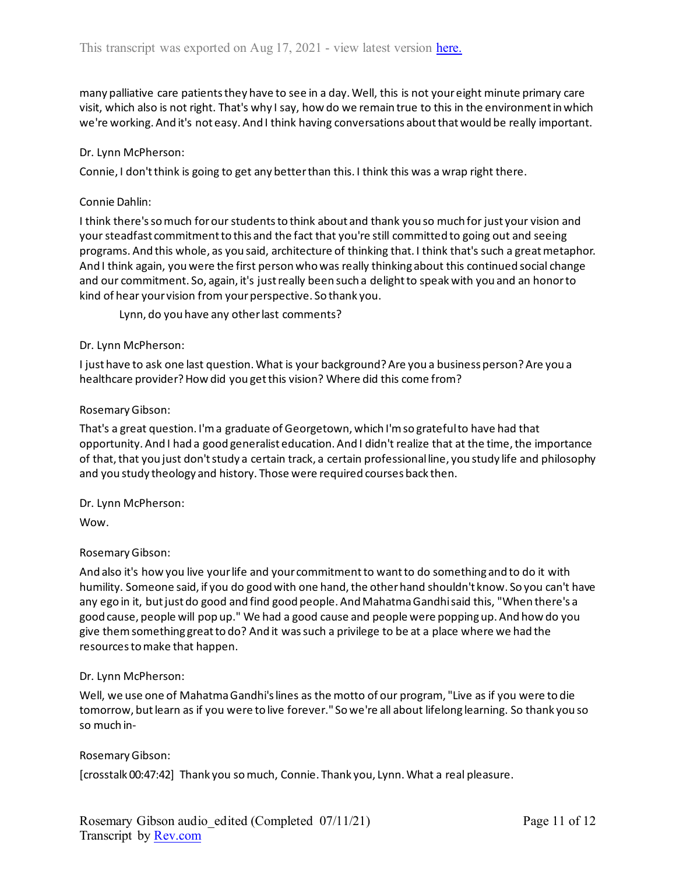many palliative care patients they have to see in a day. Well, this is not your eight minute primary care visit, which also is not right. That's why I say, how do we remain true to this in the environment in which we're working. And it's not easy. And I think having conversations about that would be really important.

#### Dr. Lynn McPherson:

Connie, I don't think is going to get any better than this. I think this was a wrap right there.

#### Connie Dahlin:

I think there's so much for our students to think about and thank you so much for just your vision and your steadfast commitment to this and the fact that you're still committed to going out and seeing programs. And this whole, as you said, architecture of thinking that. I think that's such a great metaphor. And I think again, you were the first person who was really thinking about this continued social change and our commitment. So, again, it's just really been such a delight to speak with you and an honorto kind of hear your vision from your perspective. So thank you.

Lynn, do you have any other last comments?

#### Dr. Lynn McPherson:

I just have to ask one last question. What is your background? Are you a business person? Are you a healthcare provider? How did you get this vision? Where did this come from?

#### Rosemary Gibson:

That's a great question. I'm a graduate of Georgetown, which I'm so grateful to have had that opportunity. And I had a good generalist education. And I didn't realize that at the time, the importance of that, that you just don't study a certain track, a certain professional line, you study life and philosophy and you study theology and history. Those were required courses back then.

## Dr. Lynn McPherson:

Wow.

## Rosemary Gibson:

And also it's how you live your life and your commitment to want to do something and to do it with humility. Someone said, if you do good with one hand, the other hand shouldn't know. So you can't have any ego in it, but just do good and find good people. And Mahatma Gandhi said this, "When there's a good cause, people will pop up." We had a good cause and people were popping up. And how do you give them something great to do? And it was such a privilege to be at a place where we had the resources to make that happen.

## Dr. Lynn McPherson:

Well, we use one of Mahatma Gandhi's lines as the motto of our program, "Live as if you were to die tomorrow, but learn as if you were to live forever." So we're all about lifelong learning. So thank you so so much in-

## Rosemary Gibson:

[crosstalk 00:47:42] Thank you so much, Connie. Thank you, Lynn. What a real pleasure.